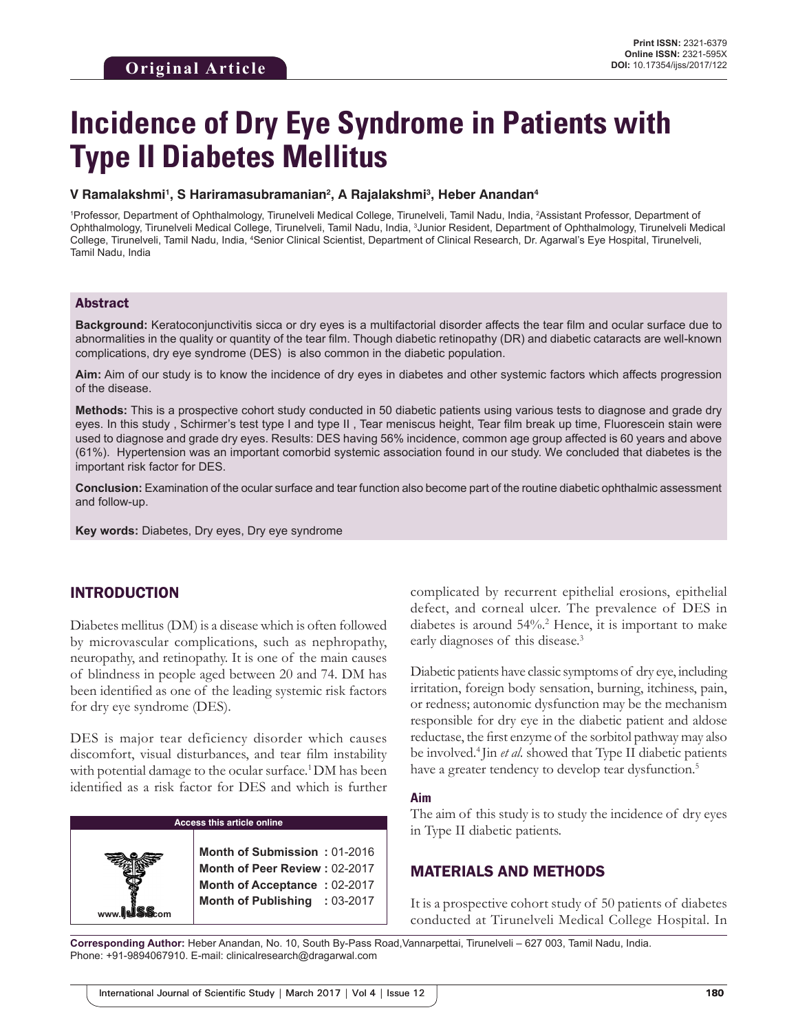# **Incidence of Dry Eye Syndrome in Patients with Type II Diabetes Mellitus**

#### **V Ramalakshmi1 , S Hariramasubramanian2 , A Rajalakshmi3 , Heber Anandan4**

1 Professor, Department of Ophthalmology, Tirunelveli Medical College, Tirunelveli, Tamil Nadu, India, 2 Assistant Professor, Department of Ophthalmology, Tirunelveli Medical College, Tirunelveli, Tamil Nadu, India, <sup>3</sup>Junior Resident, Department of Ophthalmology, Tirunelveli Medical College, Tirunelveli, Tamil Nadu, India, <sup>4</sup>Senior Clinical Scientist, Department of Clinical Research, Dr. Agarwal's Eye Hospital, Tirunelveli, Tamil Nadu, India

#### Abstract

**Background:** Keratoconjunctivitis sicca or dry eyes is a multifactorial disorder affects the tear film and ocular surface due to abnormalities in the quality or quantity of the tear film. Though diabetic retinopathy (DR) and diabetic cataracts are well-known complications, dry eye syndrome (DES) is also common in the diabetic population.

**Aim:** Aim of our study is to know the incidence of dry eyes in diabetes and other systemic factors which affects progression of the disease.

**Methods:** This is a prospective cohort study conducted in 50 diabetic patients using various tests to diagnose and grade dry eyes. In this study , Schirmer's test type I and type II , Tear meniscus height, Tear film break up time, Fluorescein stain were used to diagnose and grade dry eyes. Results: DES having 56% incidence, common age group affected is 60 years and above (61%). Hypertension was an important comorbid systemic association found in our study. We concluded that diabetes is the important risk factor for DES.

**Conclusion:** Examination of the ocular surface and tear function also become part of the routine diabetic ophthalmic assessment and follow-up.

**Key words:** Diabetes, Dry eyes, Dry eye syndrome

## INTRODUCTION

Diabetes mellitus (DM) is a disease which is often followed by microvascular complications, such as nephropathy, neuropathy, and retinopathy. It is one of the main causes of blindness in people aged between 20 and 74. DM has been identified as one of the leading systemic risk factors for dry eye syndrome (DES).

DES is major tear deficiency disorder which causes discomfort, visual disturbances, and tear film instability with potential damage to the ocular surface.<sup>1</sup> DM has been identified as a risk factor for DES and which is further

#### **Access this article online**

**www.ijss-sn.com**

**Month of Submission :** 01-2016 **Month of Peer Review :** 02-2017 **Month of Acceptance :** 02-2017 **Month of Publishing :** 03-2017 complicated by recurrent epithelial erosions, epithelial defect, and corneal ulcer. The prevalence of DES in diabetes is around 54%.2 Hence, it is important to make early diagnoses of this disease.<sup>3</sup>

Diabetic patients have classic symptoms of dry eye, including irritation, foreign body sensation, burning, itchiness, pain, or redness; autonomic dysfunction may be the mechanism responsible for dry eye in the diabetic patient and aldose reductase, the first enzyme of the sorbitol pathway may also be involved.4 Jin *et al*. showed that Type II diabetic patients have a greater tendency to develop tear dysfunction.<sup>5</sup>

#### **Aim**

The aim of this study is to study the incidence of dry eyes in Type II diabetic patients.

## MATERIALS AND METHODS

It is a prospective cohort study of 50 patients of diabetes conducted at Tirunelveli Medical College Hospital. In

**Corresponding Author:** Heber Anandan, No. 10, South By-Pass Road,Vannarpettai, Tirunelveli – 627 003, Tamil Nadu, India. Phone: +91-9894067910. E-mail: clinicalresearch@dragarwal.com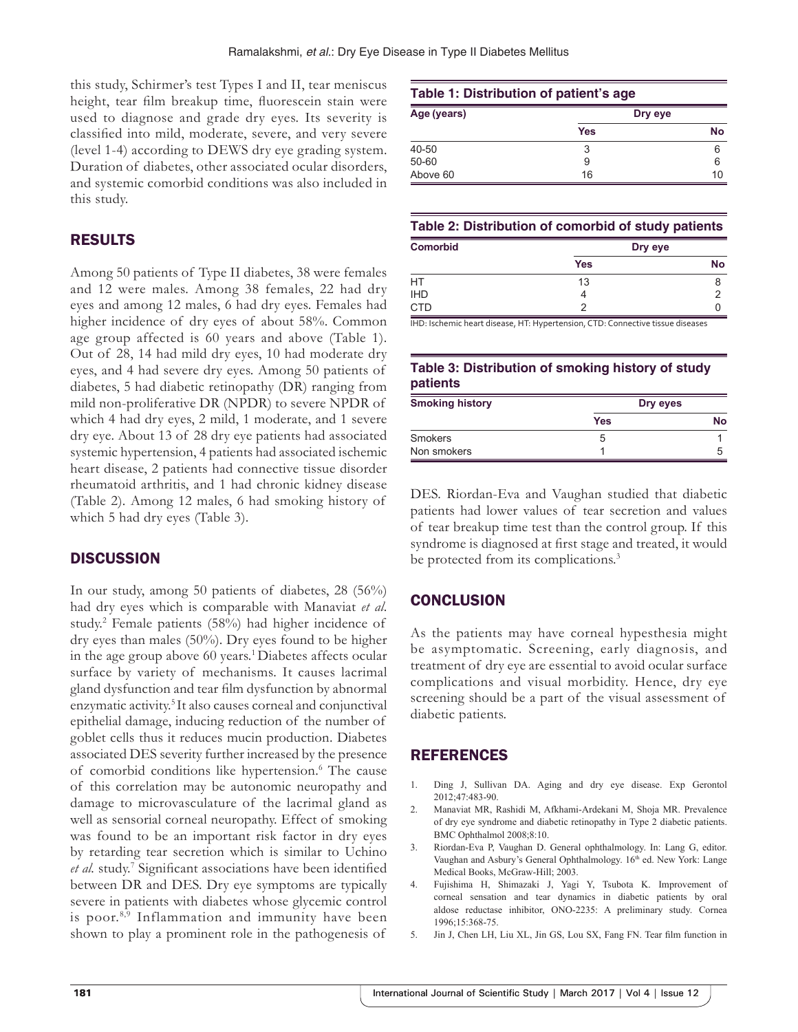this study, Schirmer's test Types I and II, tear meniscus height, tear film breakup time, fluorescein stain were used to diagnose and grade dry eyes. Its severity is classified into mild, moderate, severe, and very severe (level 1-4) according to DEWS dry eye grading system. Duration of diabetes, other associated ocular disorders, and systemic comorbid conditions was also included in this study.

# RESULTS

Among 50 patients of Type II diabetes, 38 were females and 12 were males. Among 38 females, 22 had dry eyes and among 12 males, 6 had dry eyes. Females had higher incidence of dry eyes of about 58%. Common age group affected is 60 years and above (Table 1). Out of 28, 14 had mild dry eyes, 10 had moderate dry eyes, and 4 had severe dry eyes. Among 50 patients of diabetes, 5 had diabetic retinopathy (DR) ranging from mild non-proliferative DR (NPDR) to severe NPDR of which 4 had dry eyes, 2 mild, 1 moderate, and 1 severe dry eye. About 13 of 28 dry eye patients had associated systemic hypertension, 4 patients had associated ischemic heart disease, 2 patients had connective tissue disorder rheumatoid arthritis, and 1 had chronic kidney disease (Table 2). Among 12 males, 6 had smoking history of which 5 had dry eyes (Table 3).

# **DISCUSSION**

In our study, among 50 patients of diabetes, 28 (56%) had dry eyes which is comparable with Manaviat *et al*. study.2 Female patients (58%) had higher incidence of dry eyes than males (50%). Dry eyes found to be higher in the age group above 60 years.<sup>1</sup> Diabetes affects ocular surface by variety of mechanisms. It causes lacrimal gland dysfunction and tear film dysfunction by abnormal enzymatic activity.<sup>5</sup> It also causes corneal and conjunctival epithelial damage, inducing reduction of the number of goblet cells thus it reduces mucin production. Diabetes associated DES severity further increased by the presence of comorbid conditions like hypertension.<sup>6</sup> The cause of this correlation may be autonomic neuropathy and damage to microvasculature of the lacrimal gland as well as sensorial corneal neuropathy. Effect of smoking was found to be an important risk factor in dry eyes by retarding tear secretion which is similar to Uchino et al. study.<sup>7</sup> Significant associations have been identified between DR and DES. Dry eye symptoms are typically severe in patients with diabetes whose glycemic control is poor. $8,9$  Inflammation and immunity have been shown to play a prominent role in the pathogenesis of

## **Table 1: Distribution of patient's age Age (years) Dry eye Yes No** 40‑50 3 6 50‐60 9 6

## **Table 2: Distribution of comorbid of study patients**

Above 60 16 16 10

| <b>Comorbid</b> | Dry eye    |           |
|-----------------|------------|-----------|
|                 | <b>Yes</b> | <b>No</b> |
| HT              | 13         | 8         |
| <b>IHD</b>      |            |           |
| <b>CTD</b>      | ◠          |           |

IHD: Ischemic heart disease, HT: Hypertension, CTD: Connective tissue diseases

## **Table 3: Distribution of smoking history of study patients**

| <b>Smoking history</b> | Dry eyes |           |
|------------------------|----------|-----------|
|                        | Yes      | <b>No</b> |
| <b>Smokers</b>         | G        |           |
| Non smokers            |          | :5        |

DES. Riordan-Eva and Vaughan studied that diabetic patients had lower values of tear secretion and values of tear breakup time test than the control group. If this syndrome is diagnosed at first stage and treated, it would be protected from its complications.<sup>3</sup>

# **CONCLUSION**

As the patients may have corneal hypesthesia might be asymptomatic. Screening, early diagnosis, and treatment of dry eye are essential to avoid ocular surface complications and visual morbidity. Hence, dry eye screening should be a part of the visual assessment of diabetic patients.

# REFERENCES

- 1. Ding J, Sullivan DA. Aging and dry eye disease. Exp Gerontol 2012;47:483-90.
- 2. Manaviat MR, Rashidi M, Afkhami-Ardekani M, Shoja MR. Prevalence of dry eye syndrome and diabetic retinopathy in Type 2 diabetic patients. BMC Ophthalmol 2008;8:10.
- 3. Riordan-Eva P, Vaughan D. General ophthalmology. In: Lang G, editor. Vaughan and Asbury's General Ophthalmology. 16<sup>th</sup> ed. New York: Lange Medical Books, McGraw-Hill; 2003.
- 4. Fujishima H, Shimazaki J, Yagi Y, Tsubota K. Improvement of corneal sensation and tear dynamics in diabetic patients by oral aldose reductase inhibitor, ONO-2235: A preliminary study. Cornea 1996;15:368-75.
- Jin J, Chen LH, Liu XL, Jin GS, Lou SX, Fang FN. Tear film function in